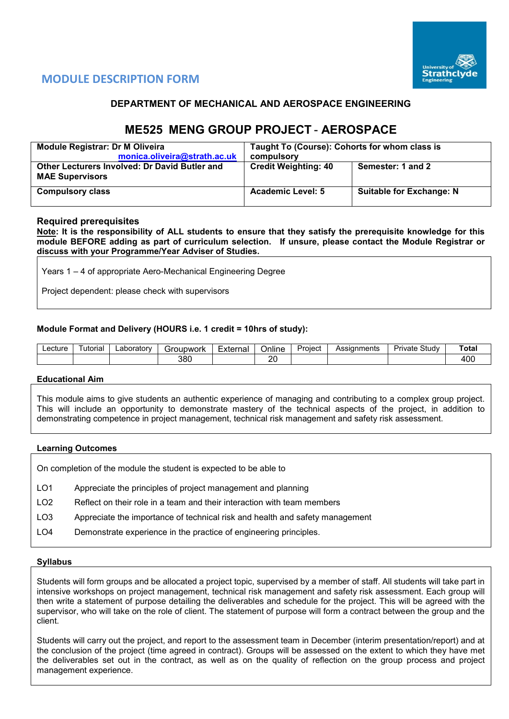

# **MODULE DESCRIPTION FORM**

## **DEPARTMENT OF MECHANICAL AND AEROSPACE ENGINEERING**

# **ME525 MENG GROUP PROJECT** - **AEROSPACE**

| <b>Module Registrar: Dr M Oliveira</b><br>monica.oliveira@strath.ac.uk         | Taught To (Course): Cohorts for whom class is<br>compulsory |                                 |  |  |  |  |
|--------------------------------------------------------------------------------|-------------------------------------------------------------|---------------------------------|--|--|--|--|
| <b>Other Lecturers Involved: Dr David Butler and</b><br><b>MAE Supervisors</b> | <b>Credit Weighting: 40</b>                                 | Semester: 1 and 2               |  |  |  |  |
| <b>Compulsory class</b>                                                        | <b>Academic Level: 5</b>                                    | <b>Suitable for Exchange: N</b> |  |  |  |  |

## **Required prerequisites**

**Note: It is the responsibility of ALL students to ensure that they satisfy the prerequisite knowledge for this module BEFORE adding as part of curriculum selection. If unsure, please contact the Module Registrar or discuss with your Programme/Year Adviser of Studies.** 

Years 1 – 4 of appropriate Aero-Mechanical Engineering Degree

Project dependent: please check with supervisors

## **Module Format and Delivery (HOURS i.e. 1 credit = 10hrs of study):**

| _ecture | utorial | _aboratorv | irounwork | External | . .<br>⊃nlıne | Project | Assianments | Study<br>ïvate<br>تتطلب | Total |
|---------|---------|------------|-----------|----------|---------------|---------|-------------|-------------------------|-------|
|         |         |            | 380       |          | or<br>∠       |         |             |                         | 100   |

#### **Educational Aim**

This module aims to give students an authentic experience of managing and contributing to a complex group project. This will include an opportunity to demonstrate mastery of the technical aspects of the project, in addition to demonstrating competence in project management, technical risk management and safety risk assessment.

#### **Learning Outcomes**

On completion of the module the student is expected to be able to

- LO1 Appreciate the principles of project management and planning
- LO2 Reflect on their role in a team and their interaction with team members
- LO3 Appreciate the importance of technical risk and health and safety management
- LO4 Demonstrate experience in the practice of engineering principles.

#### **Syllabus**

Students will form groups and be allocated a project topic, supervised by a member of staff. All students will take part in intensive workshops on project management, technical risk management and safety risk assessment. Each group will then write a statement of purpose detailing the deliverables and schedule for the project. This will be agreed with the supervisor, who will take on the role of client. The statement of purpose will form a contract between the group and the client.

Students will carry out the project, and report to the assessment team in December (interim presentation/report) and at the conclusion of the project (time agreed in contract). Groups will be assessed on the extent to which they have met the deliverables set out in the contract, as well as on the quality of reflection on the group process and project management experience.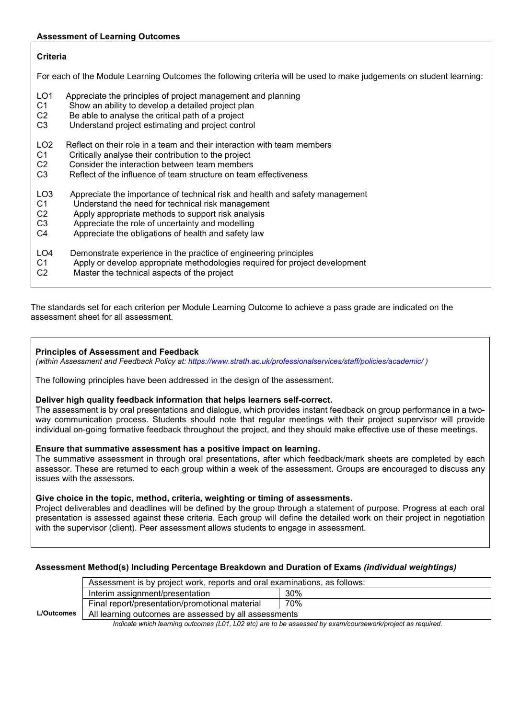## **Assessment of Learning Outcomes**

## **Criteria**

For each of the Module Learning Outcomes the following criteria will be used to make judgements on student learning:

- LO1 Appreciate the principles of project management and planning
- C1 Show an ability to develop a detailed project plan
- C2 Be able to analyse the critical path of a project<br>C3 Understand project estimating and project cont
- Understand project estimating and project control
- LO2 Reflect on their role in a team and their interaction with team members<br>C1 Critically analyse their contribution to the proiect
- Critically analyse their contribution to the project
- C2 Consider the interaction between team members
- C3 Reflect of the influence of team structure on team effectiveness
- LO3 Appreciate the importance of technical risk and health and safety management<br>C1 Understand the need for technical risk management
- Understand the need for technical risk management
- C2 Apply appropriate methods to support risk analysis<br>C3 Appreciate the role of uncertainty and modelling
- C3 Appreciate the role of uncertainty and modelling<br>C4 Appreciate the obligations of health and safety is
- Appreciate the obligations of health and safety law
- LO4 Demonstrate experience in the practice of engineering principles
- C1 Apply or develop appropriate methodologies required for project development
- C2 Master the technical aspects of the project

The standards set for each criterion per Module Learning Outcome to achieve a pass grade are indicated on the assessment sheet for all assessment.

#### **Principles of Assessment and Feedback**

*(within Assessment and Feedback Policy at: <https://www.strath.ac.uk/professionalservices/staff/policies/academic/> )*

The following principles have been addressed in the design of the assessment.

#### **Deliver high quality feedback information that helps learners self-correct.**

The assessment is by oral presentations and dialogue, which provides instant feedback on group performance in a twoway communication process. Students should note that regular meetings with their project supervisor will provide individual on-going formative feedback throughout the project, and they should make effective use of these meetings.

## **Ensure that summative assessment has a positive impact on learning.**

The summative assessment in through oral presentations, after which feedback/mark sheets are completed by each assessor. These are returned to each group within a week of the assessment. Groups are encouraged to discuss any issues with the assessors.

#### **Give choice in the topic, method, criteria, weighting or timing of assessments.**

Project deliverables and deadlines will be defined by the group through a statement of purpose. Progress at each oral presentation is assessed against these criteria. Each group will define the detailed work on their project in negotiation with the supervisor (client). Peer assessment allows students to engage in assessment.

## **Assessment Method(s) Including Percentage Breakdown and Duration of Exams** *(individual weightings)*

|                   | Assessment is by project work, reports and oral examinations, as follows: |     |  |  |  |  |  |  |  |  |
|-------------------|---------------------------------------------------------------------------|-----|--|--|--|--|--|--|--|--|
|                   | 30%<br>Interim assignment/presentation                                    |     |  |  |  |  |  |  |  |  |
|                   | Final report/presentation/promotional material                            | 70% |  |  |  |  |  |  |  |  |
| <b>L/Outcomes</b> | All learning outcomes are assessed by all assessments                     |     |  |  |  |  |  |  |  |  |

 *Indicate which learning outcomes (L01, L02 etc) are to be assessed by exam/coursework/project as required.*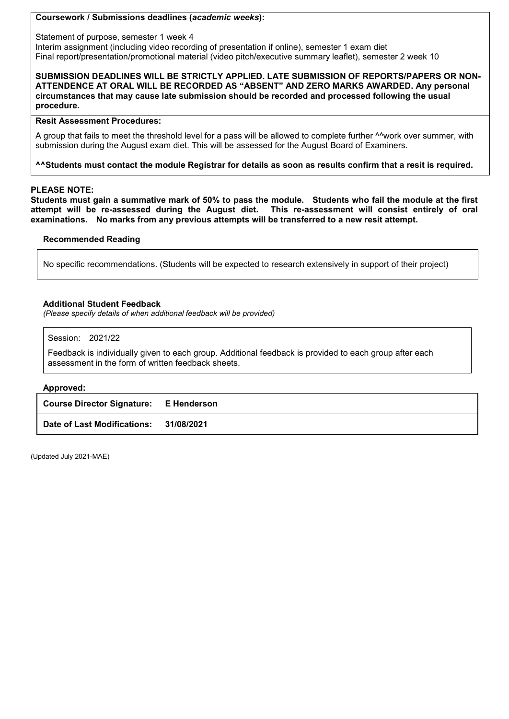## **Coursework / Submissions deadlines (***academic weeks***):**

Statement of purpose, semester 1 week 4

Interim assignment (including video recording of presentation if online), semester 1 exam diet Final report/presentation/promotional material (video pitch/executive summary leaflet), semester 2 week 10

**SUBMISSION DEADLINES WILL BE STRICTLY APPLIED. LATE SUBMISSION OF REPORTS/PAPERS OR NON-ATTENDENCE AT ORAL WILL BE RECORDED AS "ABSENT" AND ZERO MARKS AWARDED. Any personal circumstances that may cause late submission should be recorded and processed following the usual procedure.** 

## **Resit Assessment Procedures:**

A group that fails to meet the threshold level for a pass will be allowed to complete further <sup>AA</sup>work over summer, with submission during the August exam diet. This will be assessed for the August Board of Examiners.

## **^^Students must contact the module Registrar for details as soon as results confirm that a resit is required.**

#### **PLEASE NOTE:**

**Students must gain a summative mark of 50% to pass the module. Students who fail the module at the first attempt will be re-assessed during the August diet. This re-assessment will consist entirely of oral examinations. No marks from any previous attempts will be transferred to a new resit attempt.**

#### **Recommended Reading**

No specific recommendations. (Students will be expected to research extensively in support of their project)

## **Additional Student Feedback**

*(Please specify details of when additional feedback will be provided)*

Session: 2021/22

Feedback is individually given to each group. Additional feedback is provided to each group after each assessment in the form of written feedback sheets.

#### **Approved:**

| <b>Course Director Signature: E Henderson</b> |  |
|-----------------------------------------------|--|
| Date of Last Modifications: 31/08/2021        |  |

(Updated July 2021-MAE)